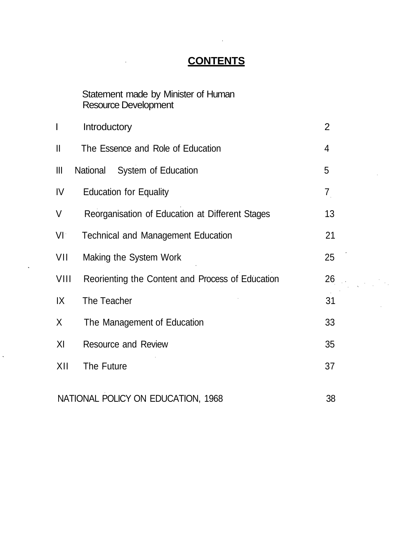# **CONTENTS**

 $\mathcal{L}^{\pm}$ 

 $\mathcal{L}^{\pm}$ 

 $\bar{\mathcal{A}}$ 

 $\bar{L}$ 

|              | Statement made by Minister of Human<br><b>Resource Development</b> |                |
|--------------|--------------------------------------------------------------------|----------------|
| I            | Introductory                                                       | $\overline{2}$ |
| $\mathbf{I}$ | The Essence and Role of Education                                  | 4              |
| III          | National<br>System of Education                                    | 5              |
| IV           | <b>Education for Equality</b>                                      | 7              |
| V            | Reorganisation of Education at Different Stages                    | 13             |
| VĿ           | <b>Technical and Management Education</b>                          | 21             |
| VII          | Making the System Work                                             | 25             |
| VIII         | Reorienting the Content and Process of Education                   | 26             |
| IX           | The Teacher                                                        | 31             |
| Χ            | The Management of Education                                        | 33             |
| XI           | <b>Resource and Review</b>                                         | 35             |
| XII          | The Future                                                         | 37             |
|              | NATIONAL POLICY ON EDUCATION, 1968                                 | 38             |

 $\label{eq:2.1} \frac{1}{\sqrt{2}}\left(\frac{1}{\sqrt{2}}\right)^{2} \left(\frac{1}{\sqrt{2}}\right)^{2} \left(\frac{1}{\sqrt{2}}\right)^{2}$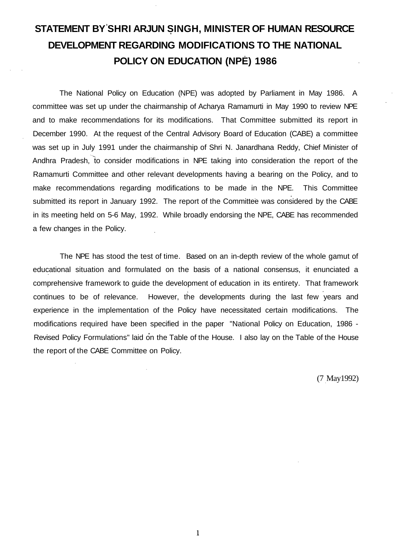# **STATEMENT BY SHRI ARJUN SINGH, MINISTER OF HUMAN RESOURCE DEVELOPMENT REGARDING MODIFICATIONS TO THE NATIONAL POLICY ON EDUCATION (NPE) 1986**

The National Policy on Education (NPE) was adopted by Parliament in May 1986. A committee was set up under the chairmanship of Acharya Ramamurti in May 1990 to review NPE and to make recommendations for its modifications. That Committee submitted its report in December 1990. At the request of the Central Advisory Board of Education (CABE) a committee was set up in July 1991 under the chairmanship of Shri N. Janardhana Reddy, Chief Minister of Andhra Pradesh, to consider modifications in NPE taking into consideration the report of the Ramamurti Committee and other relevant developments having a bearing on the Policy, and to make recommendations regarding modifications to be made in the NPE. This Committee submitted its report in January 1992. The report of the Committee was considered by the CABE in its meeting held on 5-6 May, 1992. While broadly endorsing the NPE, CABE has recommended a few changes in the Policy.

The NPE has stood the test of time. Based on an in-depth review of the whole gamut of educational situation and formulated on the basis of a national consensus, it enunciated a comprehensive framework to guide the development of education in its entirety. That framework continues to be of relevance. However, the developments during the last few years and experience in the implementation of the Policy have necessitated certain modifications. The modifications required have been specified in the paper "National Policy on Education, 1986 - Revised Policy Formulations" laid on the Table of the House. I also lay on the Table of the House the report of the CABE Committee on Policy.

(7 May1992)

 $\mathbf{1}$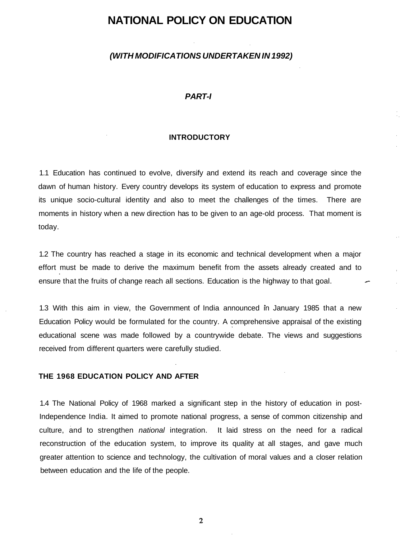# **NATIONAL POLICY ON EDUCATION**

## **(WITH MODIFICATIONS UNDERTAKEN IN 1992)**

## **PART-I**

### **INTRODUCTORY**

1.1 Education has continued to evolve, diversify and extend its reach and coverage since the dawn of human history. Every country develops its system of education to express and promote its unique socio-cultural identity and also to meet the challenges of the times. There are moments in history when a new direction has to be given to an age-old process. That moment is today.

1.2 The country has reached a stage in its economic and technical development when a major effort must be made to derive the maximum benefit from the assets already created and to ensure that the fruits of change reach all sections. Education is the highway to that goal.

1.3 With this aim in view, the Government of India announced in January 1985 that a new Education Policy would be formulated for the country. A comprehensive appraisal of the existing educational scene was made followed by a countrywide debate. The views and suggestions received from different quarters were carefully studied.

#### **THE 1968 EDUCATION POLICY AND AFTER**

1.4 The National Policy of 1968 marked a significant step in the history of education in post-Independence India. It aimed to promote national progress, a sense of common citizenship and culture, and to strengthen national integration. It laid stress on the need for a radical reconstruction of the education system, to improve its quality at all stages, and gave much greater attention to science and technology, the cultivation of moral values and a closer relation between education and the life of the people.

 $\overline{2}$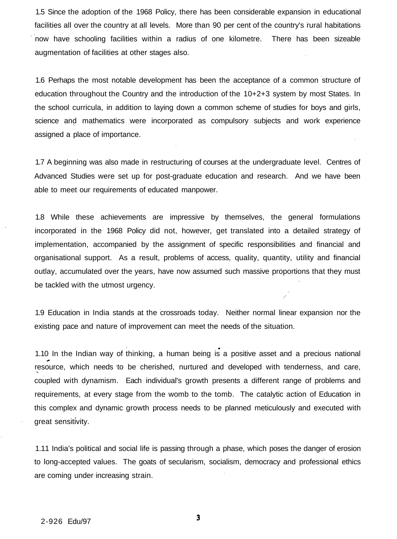1.5 Since the adoption of the 1968 Policy, there has been considerable expansion in educational facilities all over the country at all levels. More than 90 per cent of the country's rural habitations now have schooling facilities within a radius of one kilometre. There has been sizeable augmentation of facilities at other stages also.

1.6 Perhaps the most notable development has been the acceptance of a common structure of education throughout the Country and the introduction of the 10+2+3 system by most States. In the school curricula, in addition to laying down a common scheme of studies for boys and girls, science and mathematics were incorporated as compulsory subjects and work experience assigned a place of importance.

1.7 A beginning was also made in restructuring of courses at the undergraduate level. Centres of Advanced Studies were set up for post-graduate education and research. And we have been able to meet our requirements of educated manpower.

1.8 While these achievements are impressive by themselves, the general formulations incorporated in the 1968 Policy did not, however, get translated into a detailed strategy of implementation, accompanied by the assignment of specific responsibilities and financial and organisational support. As a result, problems of access, quality, quantity, utility and financial outlay, accumulated over the years, have now assumed such massive proportions that they must be tackled with the utmost urgency.

1.9 Education in India stands at the crossroads today. Neither normal linear expansion nor the existing pace and nature of improvement can meet the needs of the situation.

1.10 In the Indian way of thinking, a human being is a positive asset and a precious national resource, which needs to be cherished, nurtured and developed with tenderness, and care, coupled with dynamism. Each individual's growth presents a different range of problems and requirements, at every stage from the womb to the tomb. The catalytic action of Education in this complex and dynamic growth process needs to be planned meticulously and executed with great sensitivity.

1.11 India's political and social life is passing through a phase, which poses the danger of erosion to long-accepted values. The goats of secularism, socialism, democracy and professional ethics are coming under increasing strain.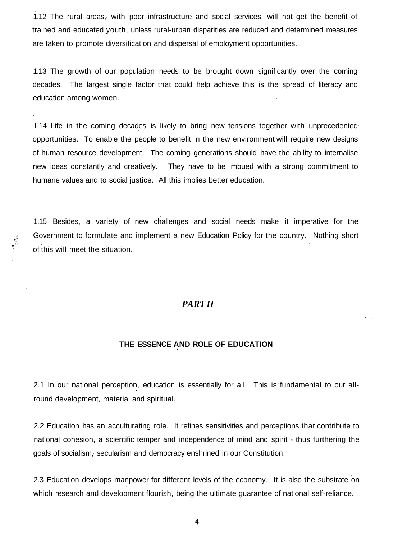1.12 The rural areas, with poor infrastructure and social services, will not get the benefit of trained and educated youth, unless rural-urban disparities are reduced and determined measures are taken to promote diversification and dispersal of employment opportunities.

1.13 The growth of our population needs to be brought down significantly over the coming decades. The largest single factor that could help achieve this is the spread of literacy and education among women.

1.14 Life in the coming decades is likely to bring new tensions together with unprecedented opportunities. To enable the people to benefit in the new environment will require new designs of human resource development. The coming generations should have the ability to internalise new ideas constantly and creatively. They have to be imbued with a strong commitment to humane values and to social justice. All this implies better education.

1.15 Besides, a variety of new challenges and social needs make it imperative for the Government to formulate and implement a new Education Policy for the country. Nothing short of this will meet the situation.

# *PART II*

## **THE ESSENCE AND ROLE OF EDUCATION**

2.1 In our national perception, education is essentially for all. This is fundamental to our allround development, material and spiritual.

2.2 Education has an acculturating role. It refines sensitivities and perceptions that contribute to national cohesion, a scientific temper and independence of mind and spirit - thus furthering the goals of socialism, secularism and democracy enshrined in our Constitution.

2.3 Education develops manpower for different levels of the economy. It is also the substrate on which research and development flourish, being the ultimate guarantee of national self-reliance.

 $\ddot{\bf{4}}$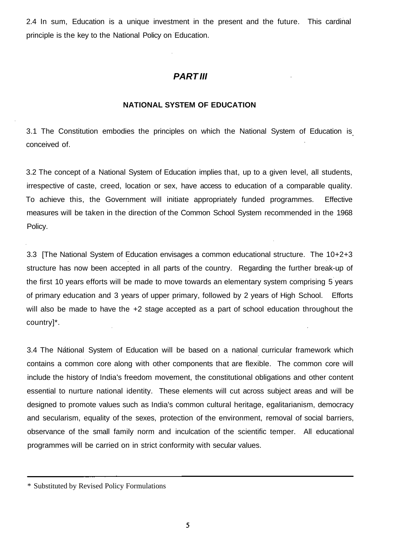2.4 In sum, Education is a unique investment in the present and the future. This cardinal principle is the key to the National Policy on Education.

# **PART III**

### **NATIONAL SYSTEM OF EDUCATION**

3.1 The Constitution embodies the principles on which the National System of Education is conceived of.

3.2 The concept of a National System of Education implies that, up to a given level, all students, irrespective of caste, creed, location or sex, have access to education of a comparable quality. To achieve this, the Government will initiate appropriately funded programmes. Effective measures will be taken in the direction of the Common School System recommended in the 1968 Policy.

3.3 [The National System of Education envisages a common educational structure. The 10+2+3 structure has now been accepted in all parts of the country. Regarding the further break-up of the first 10 years efforts will be made to move towards an elementary system comprising 5 years of primary education and 3 years of upper primary, followed by 2 years of High School. Efforts will also be made to have the +2 stage accepted as a part of school education throughout the country]\*.

3.4 The National System of Education will be based on a national curricular framework which contains a common core along with other components that are flexible. The common core will include the history of India's freedom movement, the constitutional obligations and other content essential to nurture national identity. These elements will cut across subject areas and will be designed to promote values such as India's common cultural heritage, egalitarianism, democracy and secularism, equality of the sexes, protection of the environment, removal of social barriers, observance of the small family norm and inculcation of the scientific temper. All educational programmes will be carried on in strict conformity with secular values.

<sup>\*</sup> Substituted by Revised Policy Formulations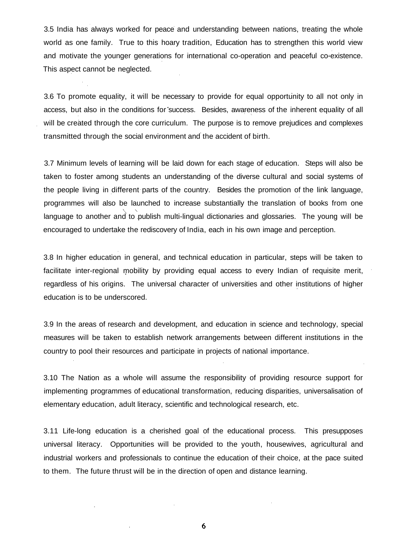3.5 India has always worked for peace and understanding between nations, treating the whole world as one family. True to this hoary tradition, Education has to strengthen this world view and motivate the younger generations for international co-operation and peaceful co-existence. This aspect cannot be neglected.

3.6 To promote equality, it will be necessary to provide for equal opportunity to all not only in access, but also in the conditions for success. Besides, awareness of the inherent equality of all will be created through the core curriculum. The purpose is to remove prejudices and complexes transmitted through the social environment and the accident of birth.

3.7 Minimum levels of learning will be laid down for each stage of education. Steps will also be taken to foster among students an understanding of the diverse cultural and social systems of the people living in different parts of the country. Besides the promotion of the link language, programmes will also be launched to increase substantially the translation of books from one language to another and to publish multi-lingual dictionaries and glossaries. The young will be encouraged to undertake the rediscovery of India, each in his own image and perception.

3.8 In higher education in general, and technical education in particular, steps will be taken to facilitate inter-regional mobility by providing equal access to every Indian of requisite merit, regardless of his origins. The universal character of universities and other institutions of higher education is to be underscored.

3.9 In the areas of research and development, and education in science and technology, special measures will be taken to establish network arrangements between different institutions in the country to pool their resources and participate in projects of national importance.

3.10 The Nation as a whole will assume the responsibility of providing resource support for implementing programmes of educational transformation, reducing disparities, universalisation of elementary education, adult literacy, scientific and technological research, etc.

3.11 Life-long education is a cherished goal of the educational process. This presupposes universal literacy. Opportunities will be provided to the youth, housewives, agricultural and industrial workers and professionals to continue the education of their choice, at the pace suited to them. The future thrust will be in the direction of open and distance learning.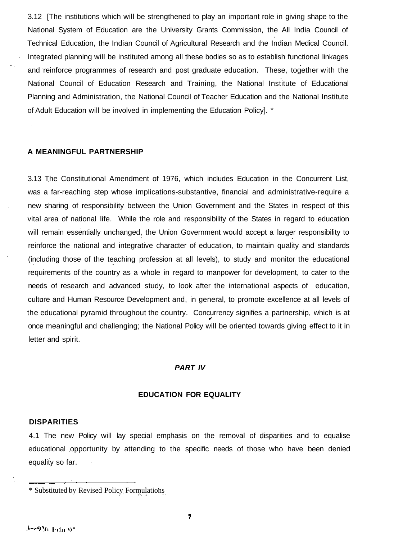3.12 [The institutions which will be strengthened to play an important role in giving shape to the National System of Education are the University Grants Commission, the All India Council of Technical Education, the Indian Council of Agricultural Research and the Indian Medical Council. Integrated planning will be instituted among all these bodies so as to establish functional linkages and reinforce programmes of research and post graduate education. These, together with the National Council of Education Research and Training, the National Institute of Educational Planning and Administration, the National Council of Teacher Education and the National Institute of Adult Education will be involved in implementing the Education Policy]. \*

## **A MEANINGFUL PARTNERSHIP**

3.13 The Constitutional Amendment of 1976, which includes Education in the Concurrent List, was a far-reaching step whose implications-substantive, financial and administrative-require a new sharing of responsibility between the Union Government and the States in respect of this vital area of national life. While the role and responsibility of the States in regard to education will remain essentially unchanged, the Union Government would accept a larger responsibility to reinforce the national and integrative character of education, to maintain quality and standards (including those of the teaching profession at all levels), to study and monitor the educational requirements of the country as a whole in regard to manpower for development, to cater to the needs of research and advanced study, to look after the international aspects of education, culture and Human Resource Development and, in general, to promote excellence at all levels of the educational pyramid throughout the country. Concurrency signifies a partnership, which is at once meaningful and challenging; the National Policy will be oriented towards giving effect to it in letter and spirit.

#### **PART IV**

## **EDUCATION FOR EQUALITY**

#### **DISPARITIES**

4.1 The new Policy will lay special emphasis on the removal of disparities and to equalise educational opportunity by attending to the specific needs of those who have been denied equality so far.

<sup>\*</sup> Substituted by Revised Policy Formulations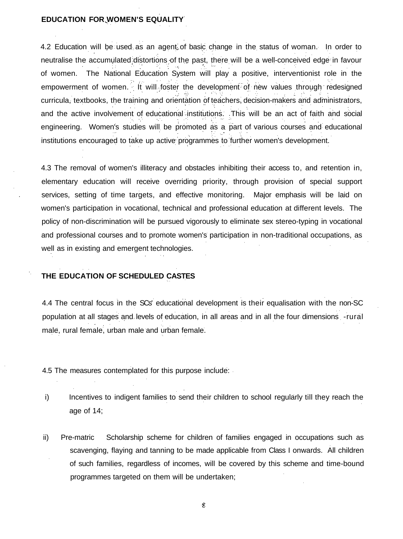## **EDUCATION FOR WOMEN'S EQUALITY**

4.2 Education will be used as an agent of basic change in the status of woman. In order to neutralise the accumulated distortions of the past, there will be a well-conceived edge in favour of women. The National Education System will play a positive, interventionist role in the empowerment of women. It will foster the development of new values through redesigned curricula, textbooks, the training and orientation of teachers, decision-makers and administrators, and the active involvement of educational institutions. This will be an act of faith and social engineering. Women's studies will be promoted as a part of various courses and educational institutions encouraged to take up active programmes to further women's development.

4.3 The removal of women's illiteracy and obstacles inhibiting their access to, and retention in, elementary education will receive overriding priority, through provision of special support services, setting of time targets, and effective monitoring. Major emphasis will be laid on women's participation in vocational, technical and professional education at different levels. The policy of non-discrimination will be pursued vigorously to eliminate sex stereo-typing in vocational and professional courses and to promote women's participation in non-traditional occupations, as well as in existing and emergent technologies.

## **THE EDUCATION OF SCHEDULED CASTES**

4.4 The central focus in the SCs' educational development is their equalisation with the non-SC population at all stages and levels of education, in all areas and in all the four dimensions -rural male, rural female, urban male and urban female.

4.5 The measures contemplated for this purpose include:

- i) Incentives to indigent families to send their children to school regularly till they reach the age of 14;
- ii) Pre-matric Scholarship scheme for children of families engaged in occupations such as scavenging, flaying and tanning to be made applicable from Class I onwards. All children of such families, regardless of incomes, will be covered by this scheme and time-bound programmes targeted on them will be undertaken;

-8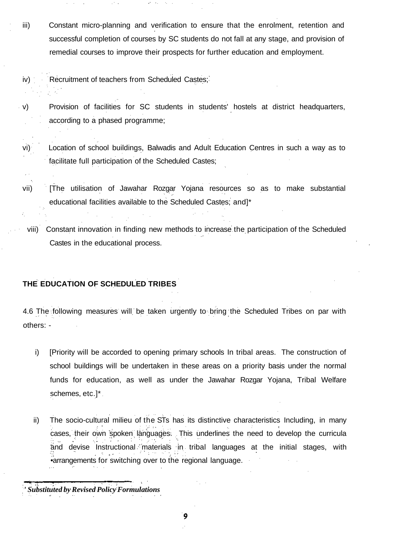- iii) Constant micro-planning and verification to ensure that the enrolment, retention and successful completion of courses by SC students do not fall at any stage, and provision of remedial courses to improve their prospects for further education and employment.
- iv) Recruitment of teachers from Scheduled Castes;

v) Provision of facilities for SC students in students' hostels at district headquarters, according to a phased programme;

- vi) Location of school buildings, Balwadis and Adult Education Centres in such a way as to facilitate full participation of the Scheduled Castes;
- vii) [The utilisation of Jawahar Rozgar Yojana resources so as to make substantial educational facilities available to the Scheduled Castes; and]\*
- viii) Constant innovation in finding new methods to increase the participation of the Scheduled Castes in the educational process.

# **THE EDUCATION OF SCHEDULED TRIBES**

4.6 The following measures will be taken urgently to bring the Scheduled Tribes on par with others: -

- i) [Priority will be accorded to opening primary schools In tribal areas. The construction of school buildings will be undertaken in these areas on a priority basis under the normal funds for education, as well as under the Jawahar Rozgar Yojana, Tribal Welfare schemes, etc.]\*
- ii) The socio-cultural milieu of the STs has its distinctive characteristics Including, in many cases, their own spoken languages. This underlines the need to develop the curricula and devise Instructional materials in tribal languages at the initial stages, with •arrangements for switching over to the regional language.

**<sup>&#</sup>x27;** *Substituted by Revised Policy Formulations*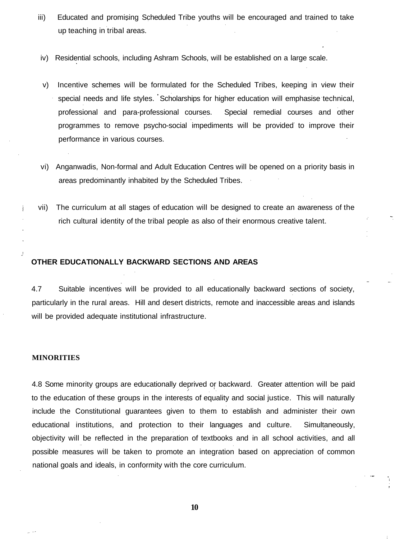- iii) Educated and promising Scheduled Tribe youths will be encouraged and trained to take up teaching in tribal areas.
- iv) Residential schools, including Ashram Schools, will be established on a large scale.
- v) Incentive schemes will be formulated for the Scheduled Tribes, keeping in view their special needs and life styles. Scholarships for higher education will emphasise technical, professional and para-professional courses. Special remedial courses and other programmes to remove psycho-social impediments will be provided to improve their performance in various courses.
- vi) Anganwadis, Non-formal and Adult Education Centres will be opened on a priority basis in areas predominantly inhabited by the Scheduled Tribes.
- vii) The curriculum at all stages of education will be designed to create an awareness of the rich cultural identity of the tribal people as also of their enormous creative talent.

### **OTHER EDUCATIONALLY BACKWARD SECTIONS AND AREAS**

4.7 Suitable incentives will be provided to all educationally backward sections of society, particularly in the rural areas. Hill and desert districts, remote and inaccessible areas and islands will be provided adequate institutional infrastructure.

#### **MINORITIES**

4.8 Some minority groups are educationally deprived or backward. Greater attention will be paid to the education of these groups in the interests of equality and social justice. This will naturally include the Constitutional guarantees given to them to establish and administer their own educational institutions, and protection to their languages and culture. Simultaneously, objectivity will be reflected in the preparation of textbooks and in all school activities, and all possible measures will be taken to promote an integration based on appreciation of common national goals and ideals, in conformity with the core curriculum.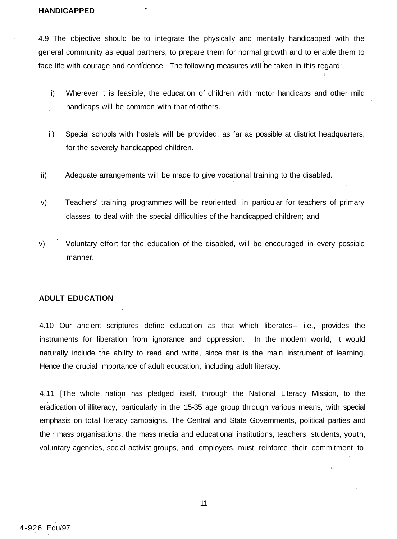#### **HANDICAPPED**

4.9 The objective should be to integrate the physically and mentally handicapped with the general community as equal partners, to prepare them for normal growth and to enable them to face life with courage and confidence. The following measures will be taken in this regard:

- i) Wherever it is feasible, the education of children with motor handicaps and other mild handicaps will be common with that of others.
- ii) Special schools with hostels will be provided, as far as possible at district headquarters, for the severely handicapped children.
- iii) Adequate arrangements will be made to give vocational training to the disabled.
- iv) Teachers' training programmes will be reoriented, in particular for teachers of primary classes, to deal with the special difficulties of the handicapped children; and
- v) Voluntary effort for the education of the disabled, will be encouraged in every possible manner.

#### **ADULT EDUCATION**

4.10 Our ancient scriptures define education as that which liberates-- i.e., provides the instruments for liberation from ignorance and oppression. In the modern world, it would naturally include the ability to read and write, since that is the main instrument of learning. Hence the crucial importance of adult education, including adult literacy.

4.11 [The whole nation has pledged itself, through the National Literacy Mission, to the eradication of illiteracy, particularly in the 15-35 age group through various means, with special emphasis on total literacy campaigns. The Central and State Governments, political parties and their mass organisations, the mass media and educational institutions, teachers, students, youth, voluntary agencies, social activist groups, and employers, must reinforce their commitment to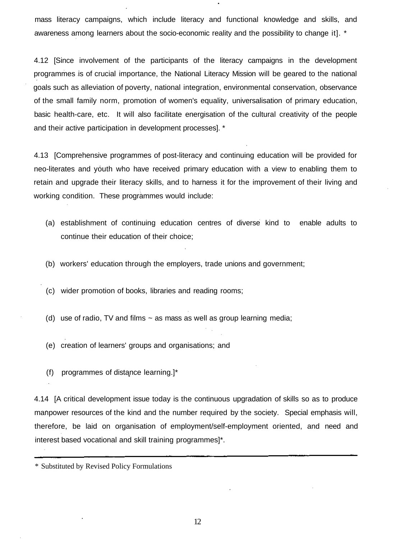mass literacy campaigns, which include literacy and functional knowledge and skills, and awareness among learners about the socio-economic reality and the possibility to change it]. \*

4.12 [Since involvement of the participants of the literacy campaigns in the development programmes is of crucial importance, the National Literacy Mission will be geared to the national goals such as alleviation of poverty, national integration, environmental conservation, observance of the small family norm, promotion of women's equality, universalisation of primary education, basic health-care, etc. It will also facilitate energisation of the cultural creativity of the people and their active participation in development processes]. \*

4.13 [Comprehensive programmes of post-literacy and continuing education will be provided for neo-literates and youth who have received primary education with a view to enabling them to retain and upgrade their literacy skills, and to harness it for the improvement of their living and working condition. These programmes would include:

- (a) establishment of continuing education centres of diverse kind to enable adults to continue their education of their choice;
- (b) workers' education through the employers, trade unions and government;
- (c) wider promotion of books, libraries and reading rooms;
- (d) use of radio, TV and films  $\sim$  as mass as well as group learning media;
- (e) creation of learners' groups and organisations; and
- (f) programmes of distance learning.]\*

4.14 [A critical development issue today is the continuous upgradation of skills so as to produce manpower resources of the kind and the number required by the society. Special emphasis will, therefore, be laid on organisation of employment/self-employment oriented, and need and interest based vocational and skill training programmes]\*.

\* Substituted by Revised Policy Formulations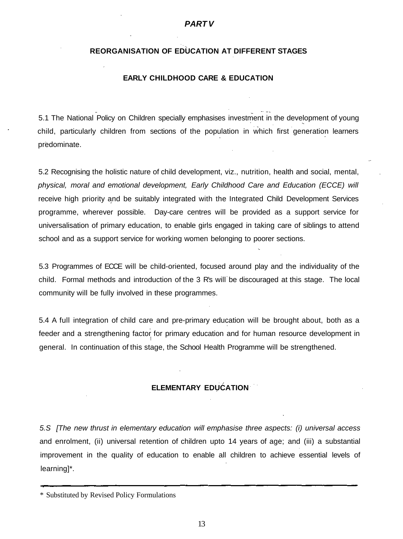## **PART V**

# **REORGANISATION OF EDUCATION AT DIFFERENT STAGES**

#### **EARLY CHILDHOOD CARE & EDUCATION**

5.1 The National Policy on Children specially emphasises investment in the development of young child, particularly children from sections of the population in which first generation learners predominate.

5.2 Recognising the holistic nature of child development, viz., nutrition, health and social, mental, physical, moral and emotional development, Early Childhood Care and Education (ECCE) will receive high priority and be suitably integrated with the Integrated Child Development Services programme, wherever possible. Day-care centres will be provided as a support service for universalisation of primary education, to enable girls engaged in taking care of siblings to attend school and as a support service for working women belonging to poorer sections.

5.3 Programmes of ECCE will be child-oriented, focused around play and the individuality of the child. Formal methods and introduction of the 3 R's will be discouraged at this stage. The local community will be fully involved in these programmes.

5.4 A full integration of child care and pre-primary education will be brought about, both as a feeder and a strengthening factor for primary education and for human resource development in general. In continuation of this stage, the School Health Programme will be strengthened.

## **ELEMENTARY EDUCATION**

5.S [The new thrust in elementary education will emphasise three aspects: (i) universal access and enrolment, (ii) universal retention of children upto 14 years of age; and (iii) a substantial improvement in the quality of education to enable all children to achieve essential levels of learning]\*.

<sup>\*</sup> Substituted by Revised Policy Formulations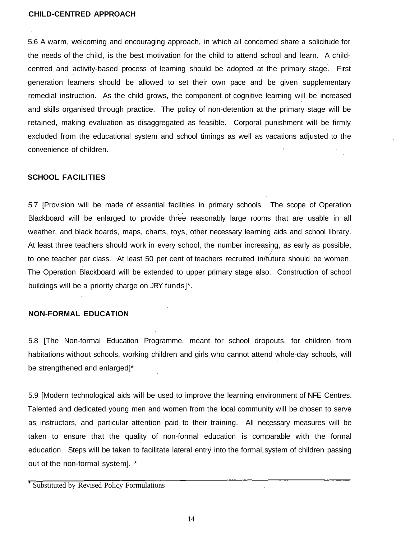#### **CHILD-CENTRED APPROACH**

5.6 A warm, welcoming and encouraging approach, in which ail concerned share a solicitude for the needs of the child, is the best motivation for the child to attend school and learn. A childcentred and activity-based process of learning should be adopted at the primary stage. First generation learners should be allowed to set their own pace and be given supplementary remedial instruction. As the child grows, the component of cognitive learning will be increased and skills organised through practice. The policy of non-detention at the primary stage will be retained, making evaluation as disaggregated as feasible. Corporal punishment will be firmly excluded from the educational system and school timings as well as vacations adjusted to the convenience of children.

## **SCHOOL FACILITIES**

5.7 [Provision will be made of essential facilities in primary schools. The scope of Operation Blackboard will be enlarged to provide three reasonably large rooms that are usable in all weather, and black boards, maps, charts, toys, other necessary learning aids and school library. At least three teachers should work in every school, the number increasing, as early as possible, to one teacher per class. At least 50 per cent of teachers recruited in/future should be women. The Operation Blackboard will be extended to upper primary stage also. Construction of school buildings will be a priority charge on JRY funds]\*.

# **NON-FORMAL EDUCATION**

5.8 [The Non-formal Education Programme, meant for school dropouts, for children from habitations without schools, working children and girls who cannot attend whole-day schools, will be strengthened and enlarged]\*

5.9 [Modern technological aids will be used to improve the learning environment of NFE Centres. Talented and dedicated young men and women from the local community will be chosen to serve as instructors, and particular attention paid to their training. All necessary measures will be taken to ensure that the quality of non-formal education is comparable with the formal education. Steps will be taken to facilitate lateral entry into the formal system of children passing out of the non-formal system]. \*

Substituted by Revised Policy Formulations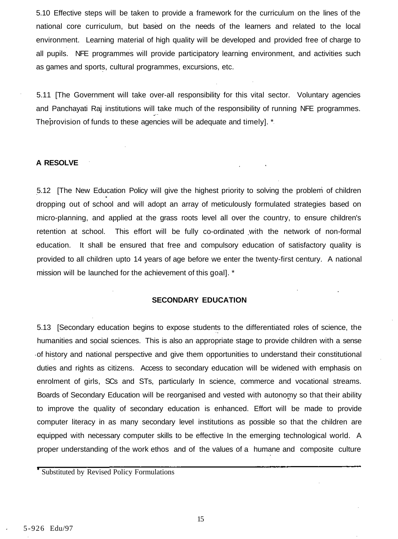5.10 Effective steps will be taken to provide a framework for the curriculum on the lines of the national core curriculum, but based on the needs of the learners and related to the local environment. Learning material of high quality will be developed and provided free of charge to all pupils. NFE programmes will provide participatory learning environment, and activities such as games and sports, cultural programmes, excursions, etc.

5.11 [The Government will take over-all responsibility for this vital sector. Voluntary agencies and Panchayati Raj institutions will take much of the responsibility of running NFE programmes. The provision of funds to these agencies will be adequate and timely]. \*

#### **A RESOLVE**

5.12 [The New Education Policy will give the highest priority to solving the problem of children dropping out of school and will adopt an array of meticulously formulated strategies based on micro-planning, and applied at the grass roots level all over the country, to ensure children's retention at school. This effort will be fully co-ordinated with the network of non-formal education. It shall be ensured that free and compulsory education of satisfactory quality is provided to all children upto 14 years of age before we enter the twenty-first century. A national mission will be launched for the achievement of this goal]. \*

## **SECONDARY EDUCATION**

5.13 [Secondary education begins to expose students to the differentiated roles of science, the humanities and social sciences. This is also an appropriate stage to provide children with a sense of history and national perspective and give them opportunities to understand their constitutional duties and rights as citizens. Access to secondary education will be widened with emphasis on enrolment of girls, SCs and STs, particularly In science, commerce and vocational streams. Boards of Secondary Education will be reorganised and vested with autonomy so that their ability to improve the quality of secondary education is enhanced. Effort will be made to provide computer literacy in as many secondary level institutions as possible so that the children are equipped with necessary computer skills to be effective In the emerging technological world. A proper understanding of the work ethos and of the values of a humane and composite culture

Substituted by Revised Policy Formulations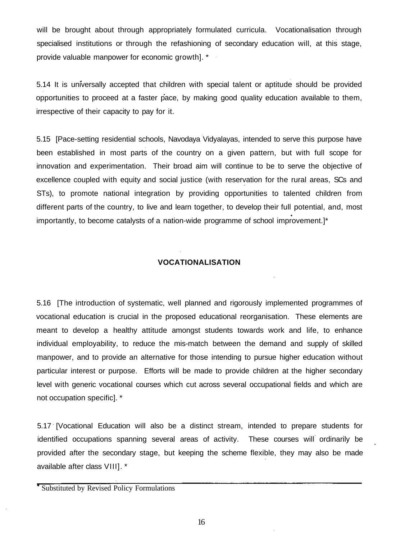will be brought about through appropriately formulated curricula. Vocationalisation through specialised institutions or through the refashioning of secondary education will, at this stage, provide valuable manpower for economic growth]. \*

5.14 It is universally accepted that children with special talent or aptitude should be provided opportunities to proceed at a faster pace, by making good quality education available to them, irrespective of their capacity to pay for it.

5.15 [Pace-setting residential schools, Navodaya Vidyalayas, intended to serve this purpose have been established in most parts of the country on a given pattern, but with full scope for innovation and experimentation. Their broad aim will continue to be to serve the objective of excellence coupled with equity and social justice (with reservation for the rural areas, SCs and STs), to promote national integration by providing opportunities to talented children from different parts of the country, to live and learn together, to develop their full potential, and, most importantly, to become catalysts of a nation-wide programme of school improvement.]\*

# **VOCATIONALISATION**

5.16 [The introduction of systematic, well planned and rigorously implemented programmes of vocational education is crucial in the proposed educational reorganisation. These elements are meant to develop a healthy attitude amongst students towards work and life, to enhance individual employability, to reduce the mis-match between the demand and supply of skilled manpower, and to provide an alternative for those intending to pursue higher education without particular interest or purpose. Efforts will be made to provide children at the higher secondary level with generic vocational courses which cut across several occupational fields and which are not occupation specific]. \*

5.17 [Vocational Education will also be a distinct stream, intended to prepare students for identified occupations spanning several areas of activity. These courses will ordinarily be provided after the secondary stage, but keeping the scheme flexible, they may also be made available after class VIII]. \*

Substituted by Revised Policy Formulations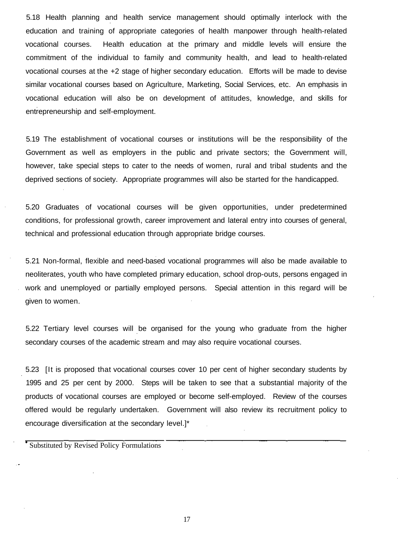5.18 Health planning and health service management should optimally interlock with the education and training of appropriate categories of health manpower through health-related vocational courses. Health education at the primary and middle levels will ensure the commitment of the individual to family and community health, and lead to health-related vocational courses at the +2 stage of higher secondary education. Efforts will be made to devise similar vocational courses based on Agriculture, Marketing, Social Services, etc. An emphasis in vocational education will also be on development of attitudes, knowledge, and skills for entrepreneurship and self-employment.

5.19 The establishment of vocational courses or institutions will be the responsibility of the Government as well as employers in the public and private sectors; the Government will, however, take special steps to cater to the needs of women, rural and tribal students and the deprived sections of society. Appropriate programmes will also be started for the handicapped.

5.20 Graduates of vocational courses will be given opportunities, under predetermined conditions, for professional growth, career improvement and lateral entry into courses of general, technical and professional education through appropriate bridge courses.

5.21 Non-formal, flexible and need-based vocational programmes will also be made available to neoliterates, youth who have completed primary education, school drop-outs, persons engaged in work and unemployed or partially employed persons. Special attention in this regard will be given to women.

5.22 Tertiary level courses will be organised for the young who graduate from the higher secondary courses of the academic stream and may also require vocational courses.

5.23 [It is proposed that vocational courses cover 10 per cent of higher secondary students by 1995 and 25 per cent by 2000. Steps will be taken to see that a substantial majority of the products of vocational courses are employed or become self-employed. Review of the courses offered would be regularly undertaken. Government will also review its recruitment policy to encourage diversification at the secondary level.]\*

Substituted by Revised Policy Formulations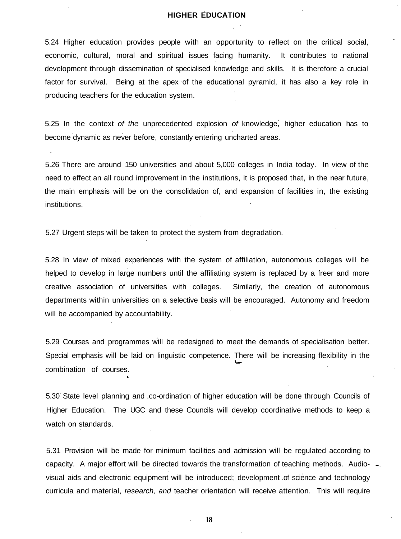#### **HIGHER EDUCATION**

5.24 Higher education provides people with an opportunity to reflect on the critical social, economic, cultural, moral and spiritual issues facing humanity. It contributes to national development through dissemination of specialised knowledge and skills. It is therefore a crucial factor for survival. Being at the apex of the educational pyramid, it has also a key role in producing teachers for the education system.

5.25 In the context of the unprecedented explosion of knowledge, higher education has to become dynamic as never before, constantly entering uncharted areas.

5.26 There are around 150 universities and about 5,000 colleges in India today. In view of the need to effect an all round improvement in the institutions, it is proposed that, in the near future, the main emphasis will be on the consolidation of, and expansion of facilities in, the existing institutions.

5.27 Urgent steps will be taken to protect the system from degradation.

5.28 In view of mixed experiences with the system of affiliation, autonomous colleges will be helped to develop in large numbers until the affiliating system is replaced by a freer and more creative association of universities with colleges. Similarly, the creation of autonomous departments within universities on a selective basis will be encouraged. Autonomy and freedom will be accompanied by accountability.

5.29 Courses and programmes will be redesigned to meet the demands of specialisation better. Special emphasis will be laid on linguistic competence. There will be increasing flexibility in the combination of courses.

5.30 State level planning and .co-ordination of higher education will be done through Councils of Higher Education. The UGC and these Councils will develop coordinative methods to keep a watch on standards.

5.31 Provision will be made for minimum facilities and admission will be regulated according to capacity. A major effort will be directed towards the transformation of teaching methods. Audiovisual aids and electronic equipment will be introduced; development .of science and technology curricula and material, research, and teacher orientation will receive attention. This will require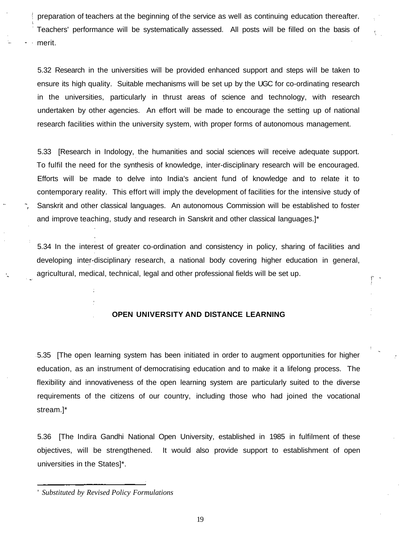preparation of teachers at the beginning of the service as well as continuing education thereafter. Teachers' performance will be systematically assessed. All posts will be filled on the basis of merit.

5.32 Research in the universities will be provided enhanced support and steps will be taken to ensure its high quality. Suitable mechanisms will be set up by the UGC for co-ordinating research in the universities, particularly in thrust areas of science and technology, with research undertaken by other agencies. An effort will be made to encourage the setting up of national research facilities within the university system, with proper forms of autonomous management.

5.33 [Research in Indology, the humanities and social sciences will receive adequate support. To fulfil the need for the synthesis of knowledge, inter-disciplinary research will be encouraged. Efforts will be made to delve into India's ancient fund of knowledge and to relate it to contemporary reality. This effort will imply the development of facilities for the intensive study of Sanskrit and other classical languages. An autonomous Commission will be established to foster and improve teaching, study and research in Sanskrit and other classical languages.]\*

5.34 In the interest of greater co-ordination and consistency in policy, sharing of facilities and developing inter-disciplinary research, a national body covering higher education in general, agricultural, medical, technical, legal and other professional fields will be set up.

#### **OPEN UNIVERSITY AND DISTANCE LEARNING**

5.35 [The open learning system has been initiated in order to augment opportunities for higher education, as an instrument of democratising education and to make it a lifelong process. The flexibility and innovativeness of the open learning system are particularly suited to the diverse requirements of the citizens of our country, including those who had joined the vocational stream.]\*

5.36 [The Indira Gandhi National Open University, established in 1985 in fulfilment of these objectives, will be strengthened. It would also provide support to establishment of open universities in the States]\*.

<sup>&#</sup>x27; *Substituted by Revised Policy Formulations*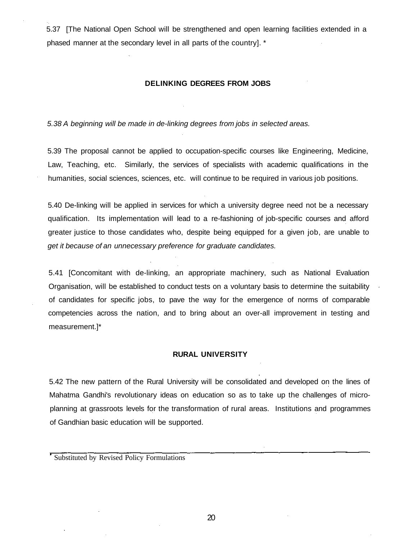5.37 [The National Open School will be strengthened and open learning facilities extended in a phased manner at the secondary level in all parts of the country]. \*

## **DELINKING DEGREES FROM JOBS**

5.38 A beginning will be made in de-linking degrees from jobs in selected areas.

5.39 The proposal cannot be applied to occupation-specific courses like Engineering, Medicine, Law, Teaching, etc. Similarly, the services of specialists with academic qualifications in the humanities, social sciences, sciences, etc. will continue to be required in various job positions.

5.40 De-linking will be applied in services for which a university degree need not be a necessary qualification. Its implementation will lead to a re-fashioning of job-specific courses and afford greater justice to those candidates who, despite being equipped for a given job, are unable to get it because of an unnecessary preference for graduate candidates.

5.41 [Concomitant with de-linking, an appropriate machinery, such as National Evaluation Organisation, will be established to conduct tests on a voluntary basis to determine the suitability of candidates for specific jobs, to pave the way for the emergence of norms of comparable competencies across the nation, and to bring about an over-all improvement in testing and measurement.]\*

#### **RURAL UNIVERSITY**

5.42 The new pattern of the Rural University will be consolidated and developed on the lines of Mahatma Gandhi's revolutionary ideas on education so as to take up the challenges of microplanning at grassroots levels for the transformation of rural areas. Institutions and programmes of Gandhian basic education will be supported.

Substituted by Revised Policy Formulations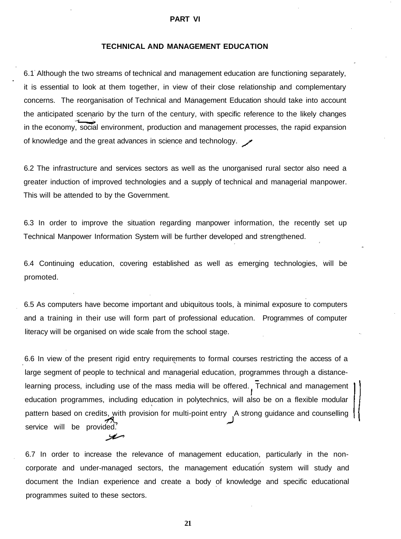#### **PART VI**

## **TECHNICAL AND MANAGEMENT EDUCATION**

6.1 Although the two streams of technical and management education are functioning separately, it is essential to look at them together, in view of their close relationship and complementary concerns. The reorganisation of Technical and Management Education should take into account the anticipated scenario by the turn of the century, with specific reference to the likely changes in the economy, social environment, production and management processes, the rapid expansion of knowledge and the great advances in science and technology.

6.2 The infrastructure and services sectors as well as the unorganised rural sector also need a greater induction of improved technologies and a supply of technical and managerial manpower. This will be attended to by the Government.

6.3 In order to improve the situation regarding manpower information, the recently set up Technical Manpower Information System will be further developed and strengthened.

6.4 Continuing education, covering established as well as emerging technologies, will be promoted.

6.5 As computers have become important and ubiquitous tools, a minimal exposure to computers and a training in their use will form part of professional education. Programmes of computer literacy will be organised on wide scale from the school stage.

6.6 In view of the present rigid entry requirements to formal courses restricting the access of a large segment of people to technical and managerial education, programmes through a distancelearning process, including use of the mass media will be offered. Technical and management education programmes, including education in polytechnics, will also be on a flexible modular pattern based on credits, with provision for multi-point entry A strong guidance and counselling service will be provided.

6.7 In order to increase the relevance of management education, particularly in the noncorporate and under-managed sectors, the management education system will study and document the Indian experience and create a body of knowledge and specific educational programmes suited to these sectors.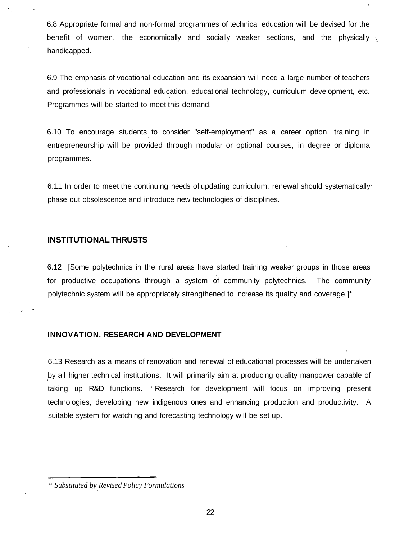6.8 Appropriate formal and non-formal programmes of technical education will be devised for the benefit of women, the economically and socially weaker sections, and the physically handicapped.

6.9 The emphasis of vocational education and its expansion will need a large number of teachers and professionals in vocational education, educational technology, curriculum development, etc. Programmes will be started to meet this demand.

6.10 To encourage students to consider "self-employment" as a career option, training in entrepreneurship will be provided through modular or optional courses, in degree or diploma programmes.

6.11 In order to meet the continuing needs of updating curriculum, renewal should systematically phase out obsolescence and introduce new technologies of disciplines.

# **INSTITUTIONAL THRUSTS**

6.12 [Some polytechnics in the rural areas have started training weaker groups in those areas for productive occupations through a system of community polytechnics. The community polytechnic system will be appropriately strengthened to increase its quality and coverage.]\*

#### **INNOVATION, RESEARCH AND DEVELOPMENT**

6.13 Research as a means of renovation and renewal of educational processes will be undertaken by all higher technical institutions. It will primarily aim at producing quality manpower capable of taking up R&D functions. 'Research for development will focus on improving present technologies, developing new indigenous ones and enhancing production and productivity. A suitable system for watching and forecasting technology will be set up.

<sup>\*</sup> *Substituted by Revised Policy Formulations*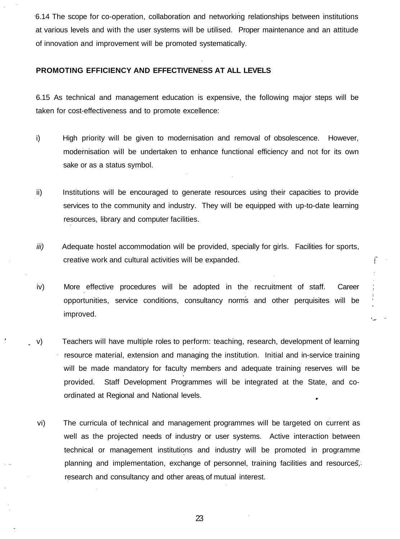6.14 The scope for co-operation, collaboration and networking relationships between institutions at various levels and with the user systems will be utilised. Proper maintenance and an attitude of innovation and improvement will be promoted systematically.

#### **PROMOTING EFFICIENCY AND EFFECTIVENESS AT ALL LEVELS**

6.15 As technical and management education is expensive, the following major steps will be taken for cost-effectiveness and to promote excellence:

- i) High priority will be given to modernisation and removal of obsolescence. However, modernisation will be undertaken to enhance functional efficiency and not for its own sake or as a status symbol.
- ii) Institutions will be encouraged to generate resources using their capacities to provide services to the community and industry. They will be equipped with up-to-date learning resources, library and computer facilities.
- iii) Adequate hostel accommodation will be provided, specially for girls. Facilities for sports, creative work and cultural activities will be expanded.

ſ

- iv) More effective procedures will be adopted in the recruitment of staff. Career opportunities, service conditions, consultancy norms and other perquisites will be improved.
- v) Teachers will have multiple roles to perform: teaching, research, development of learning resource material, extension and managing the institution. Initial and in-service training will be made mandatory for faculty members and adequate training reserves will be provided. Staff Development Programmes will be integrated at the State, and coordinated at Regional and National levels.
	- vi) The curricula of technical and management programmes will be targeted on current as well as the projected needs of industry or user systems. Active interaction between technical or management institutions and industry will be promoted in programme planning and implementation, exchange of personnel, training facilities and resources, research and consultancy and other areas of mutual interest.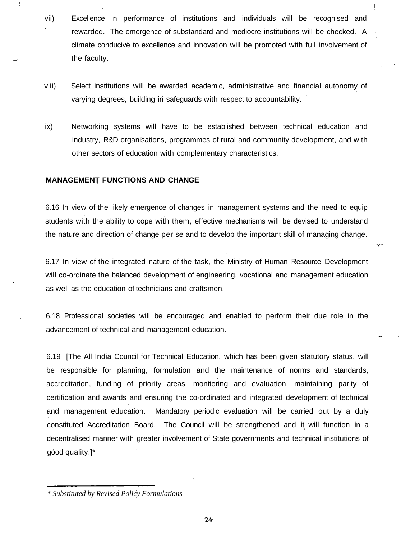vii) Excellence in performance of institutions and individuals will be recognised and rewarded. The emergence of substandard and mediocre institutions will be checked. A climate conducive to excellence and innovation will be promoted with full involvement of the faculty.

ſ

- viii) Select institutions will be awarded academic, administrative and financial autonomy of varying degrees, building in safeguards with respect to accountability.
- ix) Networking systems will have to be established between technical education and industry, R&D organisations, programmes of rural and community development, and with other sectors of education with complementary characteristics.

## **MANAGEMENT FUNCTIONS AND CHANGE**

6.16 In view of the likely emergence of changes in management systems and the need to equip students with the ability to cope with them, effective mechanisms will be devised to understand the nature and direction of change per se and to develop the important skill of managing change.

6.17 In view of the integrated nature of the task, the Ministry of Human Resource Development will co-ordinate the balanced development of engineering, vocational and management education as well as the education of technicians and craftsmen.

6.18 Professional societies will be encouraged and enabled to perform their due role in the advancement of technical and management education.

6.19 [The All India Council for Technical Education, which has been given statutory status, will be responsible for planning, formulation and the maintenance of norms and standards, accreditation, funding of priority areas, monitoring and evaluation, maintaining parity of certification and awards and ensuring the co-ordinated and integrated development of technical and management education. Mandatory periodic evaluation will be carried out by a duly constituted Accreditation Board. The Council will be strengthened and it will function in a decentralised manner with greater involvement of State governments and technical institutions of good quality.]\*

<sup>\*</sup> *Substituted by Revised Policy Formulations*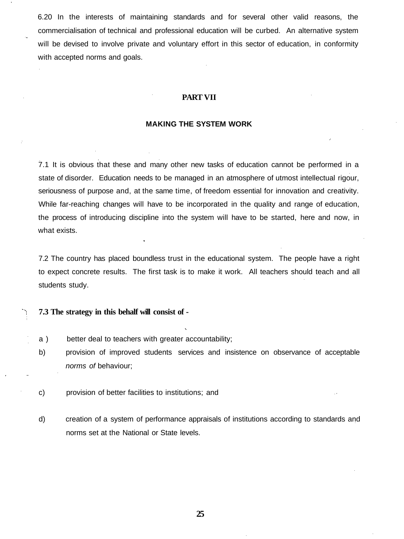6.20 In the interests of maintaining standards and for several other valid reasons, the commercialisation of technical and professional education will be curbed. An alternative system will be devised to involve private and voluntary effort in this sector of education, in conformity with accepted norms and goals.

## **PART VII**

#### **MAKING THE SYSTEM WORK**

7.1 It is obvious that these and many other new tasks of education cannot be performed in a state of disorder. Education needs to be managed in an atmosphere of utmost intellectual rigour, seriousness of purpose and, at the same time, of freedom essential for innovation and creativity. While far-reaching changes will have to be incorporated in the quality and range of education, the process of introducing discipline into the system will have to be started, here and now, in what exists.

7.2 The country has placed boundless trust in the educational system. The people have a right to expect concrete results. The first task is to make it work. All teachers should teach and all students study.

#### **7.3 The strategy in this behalf will consist of -**

- a ) better deal to teachers with greater accountability;
- b) provision of improved students services and insistence on observance of acceptable norms of behaviour;
- c) provision of better facilities to institutions; and
- d) creation of a system of performance appraisals of institutions according to standards and norms set at the National or State levels.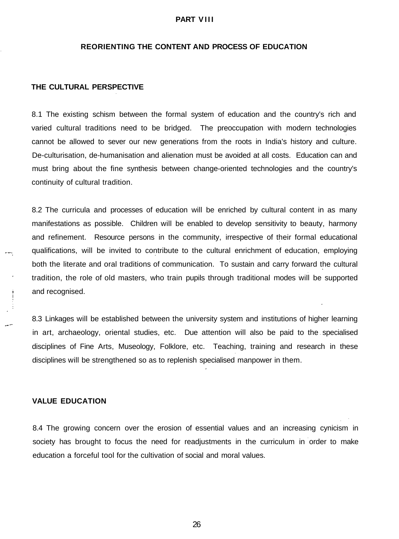#### **PART VIII**

## **REORIENTING THE CONTENT AND PROCESS OF EDUCATION**

#### **THE CULTURAL PERSPECTIVE**

8.1 The existing schism between the formal system of education and the country's rich and varied cultural traditions need to be bridged. The preoccupation with modern technologies cannot be allowed to sever our new generations from the roots in India's history and culture. De-culturisation, de-humanisation and alienation must be avoided at all costs. Education can and must bring about the fine synthesis between change-oriented technologies and the country's continuity of cultural tradition.

8.2 The curricula and processes of education will be enriched by cultural content in as many manifestations as possible. Children will be enabled to develop sensitivity to beauty, harmony and refinement. Resource persons in the community, irrespective of their formal educational qualifications, will be invited to contribute to the cultural enrichment of education, employing both the literate and oral traditions of communication. To sustain and carry forward the cultural tradition, the role of old masters, who train pupils through traditional modes will be supported and recognised.

8.3 Linkages will be established between the university system and institutions of higher learning in art, archaeology, oriental studies, etc. Due attention will also be paid to the specialised disciplines of Fine Arts, Museology, Folklore, etc. Teaching, training and research in these disciplines will be strengthened so as to replenish specialised manpower in them.

#### **VALUE EDUCATION**

8.4 The growing concern over the erosion of essential values and an increasing cynicism in society has brought to focus the need for readjustments in the curriculum in order to make education a forceful tool for the cultivation of social and moral values.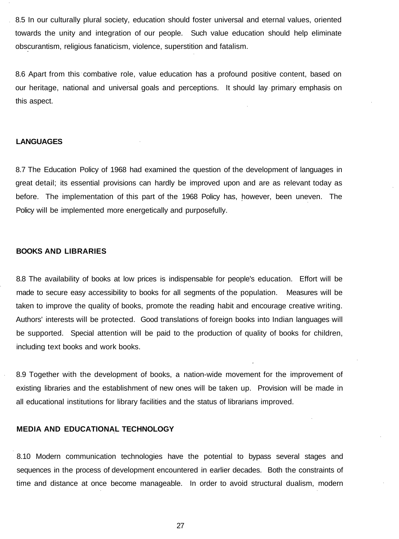8.5 In our culturally plural society, education should foster universal and eternal values, oriented towards the unity and integration of our people. Such value education should help eliminate obscurantism, religious fanaticism, violence, superstition and fatalism.

8.6 Apart from this combative role, value education has a profound positive content, based on our heritage, national and universal goals and perceptions. It should lay primary emphasis on this aspect.

#### **LANGUAGES**

8.7 The Education Policy of 1968 had examined the question of the development of languages in great detail; its essential provisions can hardly be improved upon and are as relevant today as before. The implementation of this part of the 1968 Policy has, however, been uneven. The Policy will be implemented more energetically and purposefully.

#### **BOOKS AND LIBRARIES**

8.8 The availability of books at low prices is indispensable for people's education. Effort will be made to secure easy accessibility to books for all segments of the population. Measures will be taken to improve the quality of books, promote the reading habit and encourage creative writing. Authors' interests will be protected. Good translations of foreign books into Indian languages will be supported. Special attention will be paid to the production of quality of books for children, including text books and work books.

8.9 Together with the development of books, a nation-wide movement for the improvement of existing libraries and the establishment of new ones will be taken up. Provision will be made in all educational institutions for library facilities and the status of librarians improved.

## **MEDIA AND EDUCATIONAL TECHNOLOGY**

8.10 Modern communication technologies have the potential to bypass several stages and sequences in the process of development encountered in earlier decades. Both the constraints of time and distance at once become manageable. In order to avoid structural dualism, modern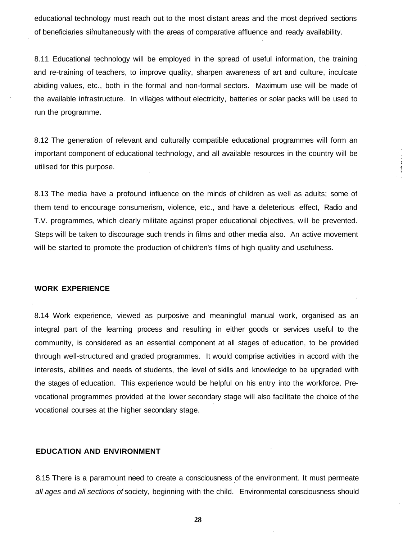educational technology must reach out to the most distant areas and the most deprived sections of beneficiaries simultaneously with the areas of comparative affluence and ready availability.

8.11 Educational technology will be employed in the spread of useful information, the training and re-training of teachers, to improve quality, sharpen awareness of art and culture, inculcate abiding values, etc., both in the formal and non-formal sectors. Maximum use will be made of the available infrastructure. In villages without electricity, batteries or solar packs will be used to run the programme.

8.12 The generation of relevant and culturally compatible educational programmes will form an important component of educational technology, and all available resources in the country will be utilised for this purpose.

8.13 The media have a profound influence on the minds of children as well as adults; some of them tend to encourage consumerism, violence, etc., and have a deleterious effect, Radio and T.V. programmes, which clearly militate against proper educational objectives, will be prevented. Steps will be taken to discourage such trends in films and other media also. An active movement will be started to promote the production of children's films of high quality and usefulness.

## **WORK EXPERIENCE**

8.14 Work experience, viewed as purposive and meaningful manual work, organised as an integral part of the learning process and resulting in either goods or services useful to the community, is considered as an essential component at all stages of education, to be provided through well-structured and graded programmes. It would comprise activities in accord with the interests, abilities and needs of students, the level of skills and knowledge to be upgraded with the stages of education. This experience would be helpful on his entry into the workforce. Prevocational programmes provided at the lower secondary stage will also facilitate the choice of the vocational courses at the higher secondary stage.

## **EDUCATION AND ENVIRONMENT**

8.15 There is a paramount need to create a consciousness of the environment. It must permeate all ages and all sections of society, beginning with the child. Environmental consciousness should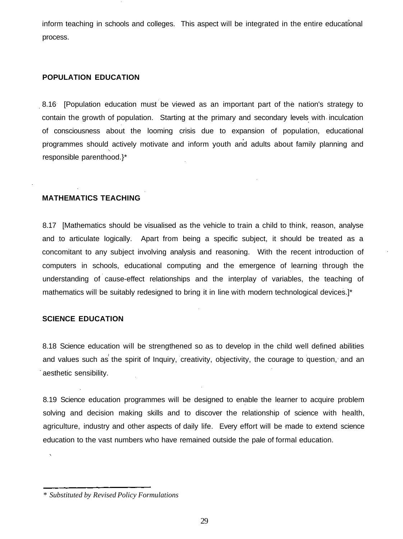inform teaching in schools and colleges. This aspect will be integrated in the entire educational process.

## **POPULATION EDUCATION**

8.16 [Population education must be viewed as an important part of the nation's strategy to contain the growth of population. Starting at the primary and secondary levels with inculcation of consciousness about the looming crisis due to expansion of population, educational programmes should actively motivate and inform youth and adults about family planning and responsible parenthood.}\*

## **MATHEMATICS TEACHING**

8.17 [Mathematics should be visualised as the vehicle to train a child to think, reason, analyse and to articulate logically. Apart from being a specific subject, it should be treated as a concomitant to any subject involving analysis and reasoning. With the recent introduction of computers in schools, educational computing and the emergence of learning through the understanding of cause-effect relationships and the interplay of variables, the teaching of mathematics will be suitably redesigned to bring it in line with modern technological devices.]\*

## **SCIENCE EDUCATION**

8.18 Science education will be strengthened so as to develop in the child well defined abilities and values such as the spirit of Inquiry, creativity, objectivity, the courage to question, and an aesthetic sensibility.

8.19 Science education programmes will be designed to enable the learner to acquire problem solving and decision making skills and to discover the relationship of science with health, agriculture, industry and other aspects of daily life. Every effort will be made to extend science education to the vast numbers who have remained outside the pale of formal education.

<sup>\*</sup> *Substituted by Revised Policy Formulations*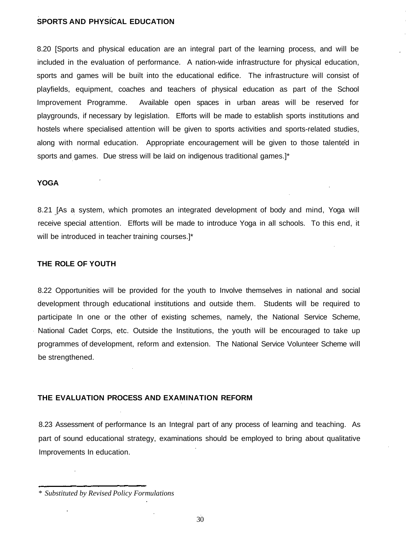## **SPORTS AND PHYSICAL EDUCATION**

8.20 [Sports and physical education are an integral part of the learning process, and will be included in the evaluation of performance. A nation-wide infrastructure for physical education, sports and games will be built into the educational edifice. The infrastructure will consist of playfields, equipment, coaches and teachers of physical education as part of the School Improvement Programme. Available open spaces in urban areas will be reserved for playgrounds, if necessary by legislation. Efforts will be made to establish sports institutions and hostels where specialised attention will be given to sports activities and sports-related studies, along with normal education. Appropriate encouragement will be given to those talented in sports and games. Due stress will be laid on indigenous traditional games.]\*

#### **YOGA**

8.21 [As a system, which promotes an integrated development of body and mind, Yoga will receive special attention. Efforts will be made to introduce Yoga in all schools. To this end, it will be introduced in teacher training courses.]\*

### **THE ROLE OF YOUTH**

8.22 Opportunities will be provided for the youth to Involve themselves in national and social development through educational institutions and outside them. Students will be required to participate In one or the other of existing schemes, namely, the National Service Scheme, National Cadet Corps, etc. Outside the Institutions, the youth will be encouraged to take up programmes of development, reform and extension. The National Service Volunteer Scheme will be strengthened.

## **THE EVALUATION PROCESS AND EXAMINATION REFORM**

8.23 Assessment of performance Is an Integral part of any process of learning and teaching. As part of sound educational strategy, examinations should be employed to bring about qualitative Improvements In education.

<sup>\*</sup> *Substituted by Revised Policy Formulations*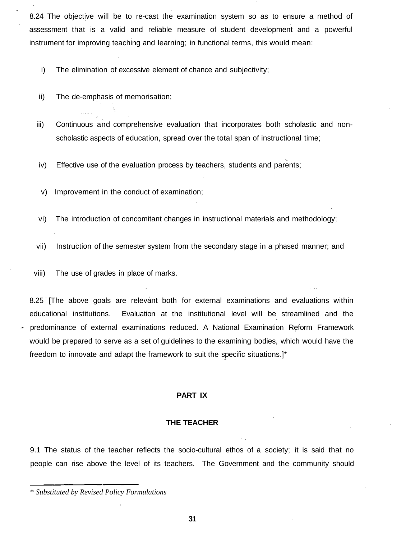8.24 The objective will be to re-cast the examination system so as to ensure a method of assessment that is a valid and reliable measure of student development and a powerful instrument for improving teaching and learning; in functional terms, this would mean:

i) The elimination of excessive element of chance and subjectivity;

- ii) The de-emphasis of memorisation;
- iii) Continuous and comprehensive evaluation that incorporates both scholastic and nonscholastic aspects of education, spread over the total span of instructional time;
- iv) Effective use of the evaluation process by teachers, students and parents;
- v) Improvement in the conduct of examination;
- vi) The introduction of concomitant changes in instructional materials and methodology;
- vii) Instruction of the semester system from the secondary stage in a phased manner; and

viii) The use of grades in place of marks.

8.25 [The above goals are relevant both for external examinations and evaluations within educational institutions. Evaluation at the institutional level will be streamlined and the predominance of external examinations reduced. A National Examination Reform Framework would be prepared to serve as a set of guidelines to the examining bodies, which would have the freedom to innovate and adapt the framework to suit the specific situations.]\*

#### **PART IX**

#### **THE TEACHER**

9.1 The status of the teacher reflects the socio-cultural ethos of a society; it is said that no people can rise above the level of its teachers. The Government and the community should

<sup>\*</sup> *Substituted by Revised Policy Formulations*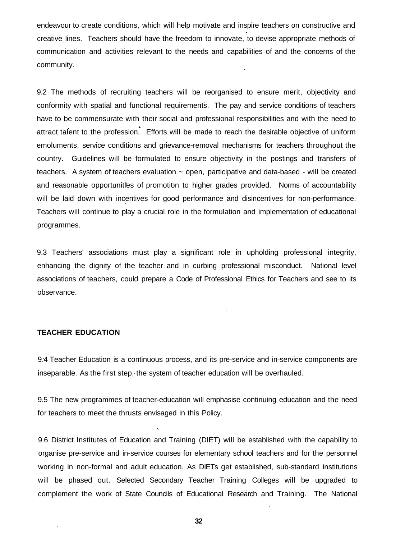endeavour to create conditions, which will help motivate and inspire teachers on constructive and creative lines. Teachers should have the freedom to innovate, to devise appropriate methods of communication and activities relevant to the needs and capabilities of and the concerns of the community.

9.2 The methods of recruiting teachers will be reorganised to ensure merit, objectivity and conformity with spatial and functional requirements. The pay and service conditions of teachers have to be commensurate with their social and professional responsibilities and with the need to attract talent to the profession. Efforts will be made to reach the desirable objective of uniform emoluments, service conditions and grievance-removal mechanisms for teachers throughout the country. Guidelines will be formulated to ensure objectivity in the postings and transfers of teachers. A system of teachers evaluation ~ open, participative and data-based - will be created and reasonable opportunities of promotion to higher grades provided. Norms of accountability will be laid down with incentives for good performance and disincentives for non-performance. Teachers will continue to play a crucial role in the formulation and implementation of educational programmes.

9.3 Teachers' associations must play a significant role in upholding professional integrity, enhancing the dignity of the teacher and in curbing professional misconduct. National level associations of teachers, could prepare a Code of Professional Ethics for Teachers and see to its observance.

## **TEACHER EDUCATION**

9.4 Teacher Education is a continuous process, and its pre-service and in-service components are inseparable. As the first step, the system of teacher education will be overhauled.

9.5 The new programmes of teacher-education will emphasise continuing education and the need for teachers to meet the thrusts envisaged in this Policy.

9.6 District Institutes of Education and Training (DIET) will be established with the capability to organise pre-service and in-service courses for elementary school teachers and for the personnel working in non-formal and adult education. As DIETs get established, sub-standard institutions will be phased out. Selected Secondary Teacher Training Colleges will be upgraded to complement the work of State Councils of Educational Research and Training. The National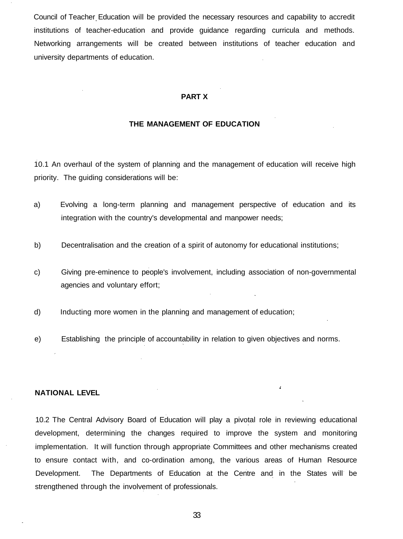Council of Teacher Education will be provided the necessary resources and capability to accredit institutions of teacher-education and provide guidance regarding curricula and methods. Networking arrangements will be created between institutions of teacher education and university departments of education.

## **PART X**

#### **THE MANAGEMENT OF EDUCATION**

10.1 An overhaul of the system of planning and the management of education will receive high priority. The guiding considerations will be:

- a) Evolving a long-term planning and management perspective of education and its integration with the country's developmental and manpower needs;
- b) Decentralisation and the creation of a spirit of autonomy for educational institutions;
- c) Giving pre-eminence to people's involvement, including association of non-governmental agencies and voluntary effort;
- d) Inducting more women in the planning and management of education;
- e) Establishing the principle of accountability in relation to given objectives and norms.

## **NATIONAL LEVEL**

10.2 The Central Advisory Board of Education will play a pivotal role in reviewing educational development, determining the changes required to improve the system and monitoring implementation. It will function through appropriate Committees and other mechanisms created to ensure contact with, and co-ordination among, the various areas of Human Resource Development. The Departments of Education at the Centre and in the States will be strengthened through the involvement of professionals.

z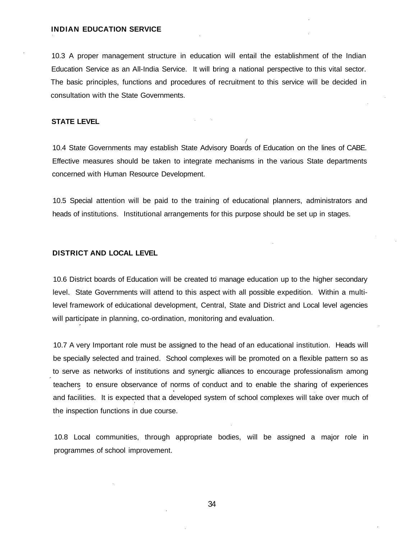10.3 A proper management structure in education will entail the establishment of the Indian Education Service as an All-India Service. It will bring a national perspective to this vital sector. The basic principles, functions and procedures of recruitment to this service will be decided in consultation with the State Governments.

## **STATE LEVEL**

10.4 State Governments may establish State Advisory Boards of Education on the lines of CABE. Effective measures should be taken to integrate mechanisms in the various State departments concerned with Human Resource Development.

10.5 Special attention will be paid to the training of educational planners, administrators and heads of institutions. Institutional arrangements for this purpose should be set up in stages.

#### **DISTRICT AND LOCAL LEVEL**

10.6 District boards of Education will be created to manage education up to the higher secondary level. State Governments will attend to this aspect with all possible expedition. Within a multilevel framework of educational development, Central, State and District and Local level agencies will participate in planning, co-ordination, monitoring and evaluation.

10.7 A very Important role must be assigned to the head of an educational institution. Heads will be specially selected and trained. School complexes will be promoted on a flexible pattern so as to serve as networks of institutions and synergic alliances to encourage professionalism among teachers to ensure observance of norms of conduct and to enable the sharing of experiences and facilities. It is expected that a developed system of school complexes will take over much of the inspection functions in due course.

10.8 Local communities, through appropriate bodies, will be assigned a major role in programmes of school improvement.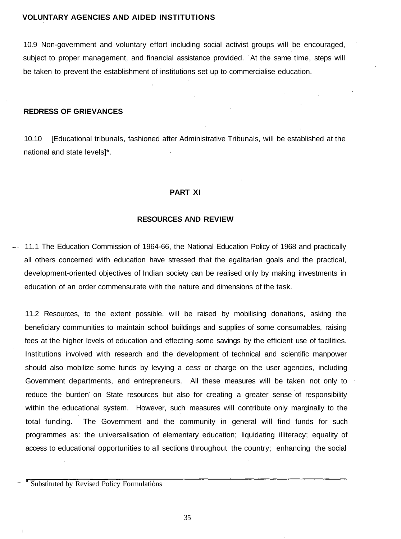## **VOLUNTARY AGENCIES AND AIDED INSTITUTIONS**

10.9 Non-government and voluntary effort including social activist groups will be encouraged, subject to proper management, and financial assistance provided. At the same time, steps will be taken to prevent the establishment of institutions set up to commercialise education.

#### **REDRESS OF GRIEVANCES**

10.10 [Educational tribunals, fashioned after Administrative Tribunals, will be established at the national and state levels]\*.

## **PART XI**

## **RESOURCES AND REVIEW**

 $-$  11.1 The Education Commission of 1964-66, the National Education Policy of 1968 and practically all others concerned with education have stressed that the egalitarian goals and the practical, development-oriented objectives of Indian society can be realised only by making investments in education of an order commensurate with the nature and dimensions of the task.

11.2 Resources, to the extent possible, will be raised by mobilising donations, asking the beneficiary communities to maintain school buildings and supplies of some consumables, raising fees at the higher levels of education and effecting some savings by the efficient use of facilities. Institutions involved with research and the development of technical and scientific manpower should also mobilize some funds by levying a cess or charge on the user agencies, including Government departments, and entrepreneurs. All these measures will be taken not only to reduce the burden on State resources but also for creating a greater sense of responsibility within the educational system. However, such measures will contribute only marginally to the total funding. The Government and the community in general will find funds for such programmes as: the universalisation of elementary education; liquidating illiteracy; equality of access to educational opportunities to all sections throughout the country; enhancing the social

Substituted by Revised Policy Formulations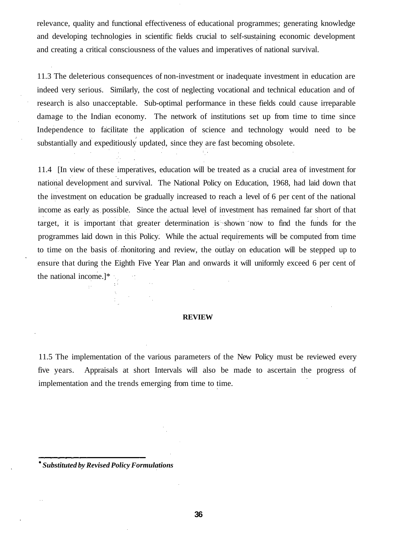relevance, quality and functional effectiveness of educational programmes; generating knowledge and developing technologies in scientific fields crucial to self-sustaining economic development and creating a critical consciousness of the values and imperatives of national survival.

11.3 The deleterious consequences of non-investment or inadequate investment in education are indeed very serious. Similarly, the cost of neglecting vocational and technical education and of research is also unacceptable. Sub-optimal performance in these fields could cause irreparable damage to the Indian economy. The network of institutions set up from time to time since Independence to facilitate the application of science and technology would need to be substantially and expeditiously updated, since they are fast becoming obsolete.

11.4 [In view of these imperatives, education will be treated as a crucial area of investment for national development and survival. The National Policy on Education, 1968, had laid down that the investment on education be gradually increased to reach a level of 6 per cent of the national income as early as possible. Since the actual level of investment has remained far short of that target, it is important that greater determination is shown now to find the funds for the programmes laid down in this Policy. While the actual requirements will be computed from time to time on the basis of monitoring and review, the outlay on education will be stepped up to ensure that during the Eighth Five Year Plan and onwards it will uniformly exceed 6 per cent of the national income.]\*

#### **REVIEW**

11.5 The implementation of the various parameters of the New Policy must be reviewed every five years. Appraisals at short Intervals will also be made to ascertain the progress of implementation and the trends emerging from time to time.

*Substituted by Revised Policy Formulations*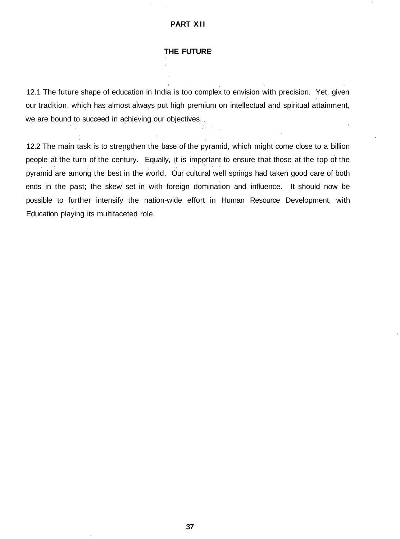# **PART XII**

#### **THE FUTURE**

12.1 The future shape of education in India is too complex to envision with precision. Yet, given our tradition, which has almost always put high premium on intellectual and spiritual attainment, we are bound to succeed in achieving our objectives.

12.2 The main task is to strengthen the base of the pyramid, which might come close to a billion people at the turn of the century. Equally, it is important to ensure that those at the top of the pyramid are among the best in the world. Our cultural well springs had taken good care of both ends in the past; the skew set in with foreign domination and influence. It should now be possible to further intensify the nation-wide effort in Human Resource Development, with Education playing its multifaceted role.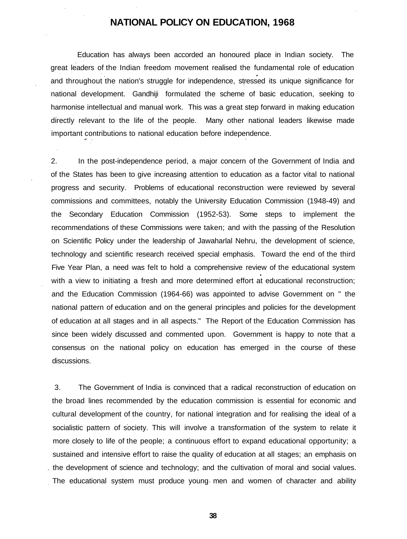# **NATIONAL POLICY ON EDUCATION, 1968**

Education has always been accorded an honoured place in Indian society. The great leaders of the Indian freedom movement realised the fundamental role of education and throughout the nation's struggle for independence, stressed its unique significance for national development. Gandhiji formulated the scheme of basic education, seeking to harmonise intellectual and manual work. This was a great step forward in making education directly relevant to the life of the people. Many other national leaders likewise made important contributions to national education before independence.

2. In the post-independence period, a major concern of the Government of India and of the States has been to give increasing attention to education as a factor vital to national progress and security. Problems of educational reconstruction were reviewed by several commissions and committees, notably the University Education Commission (1948-49) and the Secondary Education Commission (1952-53). Some steps to implement the recommendations of these Commissions were taken; and with the passing of the Resolution on Scientific Policy under the leadership of Jawaharlal Nehru, the development of science, technology and scientific research received special emphasis. Toward the end of the third Five Year Plan, a need was felt to hold a comprehensive review of the educational system with a view to initiating a fresh and more determined effort at educational reconstruction; and the Education Commission (1964-66) was appointed to advise Government on " the national pattern of education and on the general principles and policies for the development of education at all stages and in all aspects." The Report of the Education Commission has since been widely discussed and commented upon. Government is happy to note that a consensus on the national policy on education has emerged in the course of these discussions.

3. The Government of India is convinced that a radical reconstruction of education on the broad lines recommended by the education commission is essential for economic and cultural development of the country, for national integration and for realising the ideal of a socialistic pattern of society. This will involve a transformation of the system to relate it more closely to life of the people; a continuous effort to expand educational opportunity; a sustained and intensive effort to raise the quality of education at all stages; an emphasis on the development of science and technology; and the cultivation of moral and social values. The educational system must produce young men and women of character and ability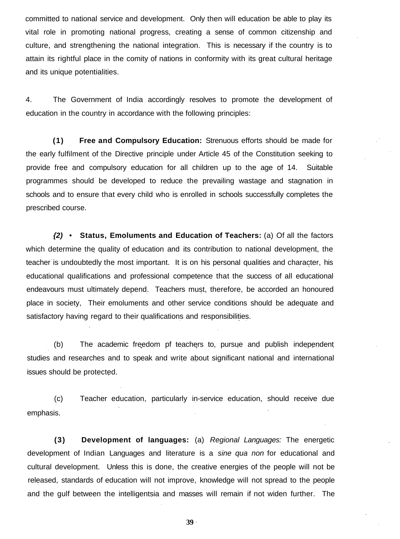committed to national service and development. Only then will education be able to play its vital role in promoting national progress, creating a sense of common citizenship and culture, and strengthening the national integration. This is necessary if the country is to attain its rightful place in the comity of nations in conformity with its great cultural heritage and its unique potentialities.

4. The Government of India accordingly resolves to promote the development of education in the country in accordance with the following principles:

**(1) Free and Compulsory Education:** Strenuous efforts should be made for the early fulfilment of the Directive principle under Article 45 of the Constitution seeking to provide free and compulsory education for all children up to the age of 14. Suitable programmes should be developed to reduce the prevailing wastage and stagnation in schools and to ensure that every child who is enrolled in schools successfully completes the prescribed course.

**{2)** • **Status, Emoluments and Education of Teachers:** (a) Of all the factors which determine the quality of education and its contribution to national development, the teacher is undoubtedly the most important. It is on his personal qualities and character, his educational qualifications and professional competence that the success of all educational endeavours must ultimately depend. Teachers must, therefore, be accorded an honoured place in society, Their emoluments and other service conditions should be adequate and satisfactory having regard to their qualifications and responsibilities.

(b) The academic freedom pf teachers to, pursue and publish independent studies and researches and to speak and write about significant national and international issues should be protected.

(c) Teacher education, particularly in-service education, should receive due emphasis.

**(3) Development of languages:** (a) Regional Languages: The energetic development of Indian Languages and literature is a sine qua non for educational and cultural development. Unless this is done, the creative energies of the people will not be released, standards of education will not improve, knowledge will not spread to the people and the gulf between the intelligentsia and masses will remain if not widen further. The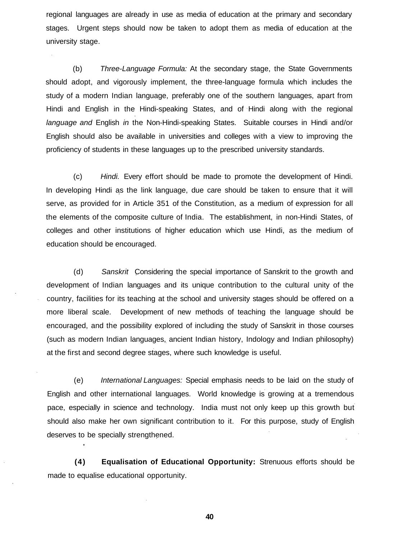regional languages are already in use as media of education at the primary and secondary stages. Urgent steps should now be taken to adopt them as media of education at the university stage.

(b) Three-Language Formula: At the secondary stage, the State Governments should adopt, and vigorously implement, the three-language formula which includes the study of a modern Indian language, preferably one of the southern languages, apart from Hindi and English in the Hindi-speaking States, and of Hindi along with the regional language and English in the Non-Hindi-speaking States. Suitable courses in Hindi and/or English should also be available in universities and colleges with a view to improving the proficiency of students in these languages up to the prescribed university standards.

(c) Hindi. Every effort should be made to promote the development of Hindi. In developing Hindi as the link language, due care should be taken to ensure that it will serve, as provided for in Article 351 of the Constitution, as a medium of expression for all the elements of the composite culture of India. The establishment, in non-Hindi States, of colleges and other institutions of higher education which use Hindi, as the medium of education should be encouraged.

(d) Sanskrit Considering the special importance of Sanskrit to the growth and development of Indian languages and its unique contribution to the cultural unity of the country, facilities for its teaching at the school and university stages should be offered on a more liberal scale. Development of new methods of teaching the language should be encouraged, and the possibility explored of including the study of Sanskrit in those courses (such as modern Indian languages, ancient Indian history, Indology and Indian philosophy) at the first and second degree stages, where such knowledge is useful.

(e) International Languages: Special emphasis needs to be laid on the study of English and other international languages. World knowledge is growing at a tremendous pace, especially in science and technology. India must not only keep up this growth but should also make her own significant contribution to it. For this purpose, study of English deserves to be specially strengthened.

**(4) Equalisation of Educational Opportunity:** Strenuous efforts should be made to equalise educational opportunity.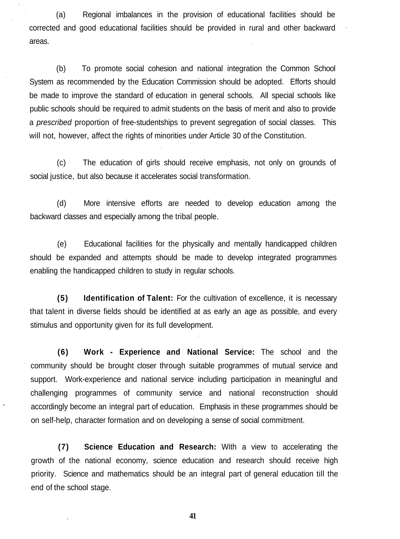(a) Regional imbalances in the provision of educational facilities should be corrected and good educational facilities should be provided in rural and other backward areas.

(b) To promote social cohesion and national integration the Common School System as recommended by the Education Commission should be adopted. Efforts should be made to improve the standard of education in general schools. All special schools like public schools should be required to admit students on the basis of merit and also to provide a prescribed proportion of free-studentships to prevent segregation of social classes. This will not, however, affect the rights of minorities under Article 30 of the Constitution.

(c) The education of girls should receive emphasis, not only on grounds of social justice, but also because it accelerates social transformation.

(d) More intensive efforts are needed to develop education among the backward classes and especially among the tribal people.

(e) Educational facilities for the physically and mentally handicapped children should be expanded and attempts should be made to develop integrated programmes enabling the handicapped children to study in regular schools.

**(5) Identification of Talent:** For the cultivation of excellence, it is necessary that talent in diverse fields should be identified at as early an age as possible, and every stimulus and opportunity given for its full development.

**(6) Work - Experience and National Service:** The school and the community should be brought closer through suitable programmes of mutual service and support. Work-experience and national service including participation in meaningful and challenging programmes of community service and national reconstruction should accordingly become an integral part of education. Emphasis in these programmes should be on self-help, character formation and on developing a sense of social commitment.

**(7) Science Education and Research:** With a view to accelerating the growth of the national economy, science education and research should receive high priority. Science and mathematics should be an integral part of general education till the end of the school stage.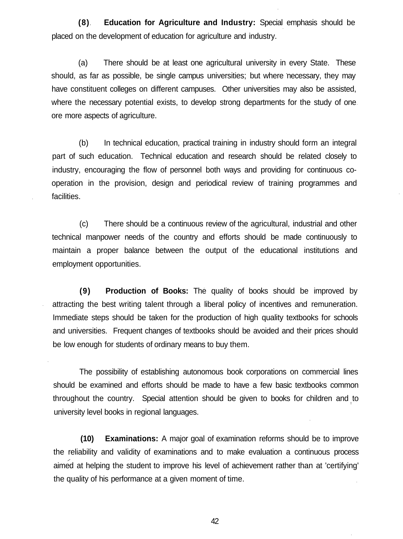**(8) Education for Agriculture and Industry:** Special emphasis should be placed on the development of education for agriculture and industry.

(a) There should be at least one agricultural university in every State. These should, as far as possible, be single campus universities; but where necessary, they may have constituent colleges on different campuses. Other universities may also be assisted, where the necessary potential exists, to develop strong departments for the study of one ore more aspects of agriculture.

(b) In technical education, practical training in industry should form an integral part of such education. Technical education and research should be related closely to industry, encouraging the flow of personnel both ways and providing for continuous cooperation in the provision, design and periodical review of training programmes and facilities.

(c) There should be a continuous review of the agricultural, industrial and other technical manpower needs of the country and efforts should be made continuously to maintain a proper balance between the output of the educational institutions and employment opportunities.

**(9) Production of Books:** The quality of books should be improved by attracting the best writing talent through a liberal policy of incentives and remuneration. Immediate steps should be taken for the production of high quality textbooks for schools and universities. Frequent changes of textbooks should be avoided and their prices should be low enough for students of ordinary means to buy them.

The possibility of establishing autonomous book corporations on commercial lines should be examined and efforts should be made to have a few basic textbooks common throughout the country. Special attention should be given to books for children and to university level books in regional languages.

**(10) Examinations:** A major goal of examination reforms should be to improve the reliability and validity of examinations and to make evaluation a continuous process aimed at helping the student to improve his level of achievement rather than at 'certifying' the quality of his performance at a given moment of time.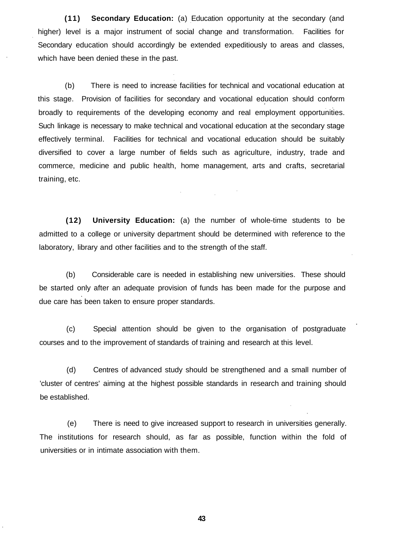**(11) Secondary Education:** (a) Education opportunity at the secondary (and higher) level is a major instrument of social change and transformation. Facilities for Secondary education should accordingly be extended expeditiously to areas and classes, which have been denied these in the past.

(b) There is need to increase facilities for technical and vocational education at this stage. Provision of facilities for secondary and vocational education should conform broadly to requirements of the developing economy and real employment opportunities. Such linkage is necessary to make technical and vocational education at the secondary stage effectively terminal. Facilities for technical and vocational education should be suitably diversified to cover a large number of fields such as agriculture, industry, trade and commerce, medicine and public health, home management, arts and crafts, secretarial training, etc.

**(12) University Education:** (a) the number of whole-time students to be admitted to a college or university department should be determined with reference to the laboratory, library and other facilities and to the strength of the staff.

(b) Considerable care is needed in establishing new universities. These should be started only after an adequate provision of funds has been made for the purpose and due care has been taken to ensure proper standards.

(c) Special attention should be given to the organisation of postgraduate courses and to the improvement of standards of training and research at this level.

(d) Centres of advanced study should be strengthened and a small number of 'cluster of centres' aiming at the highest possible standards in research and training should be established.

(e) There is need to give increased support to research in universities generally. The institutions for research should, as far as possible, function within the fold of universities or in intimate association with them.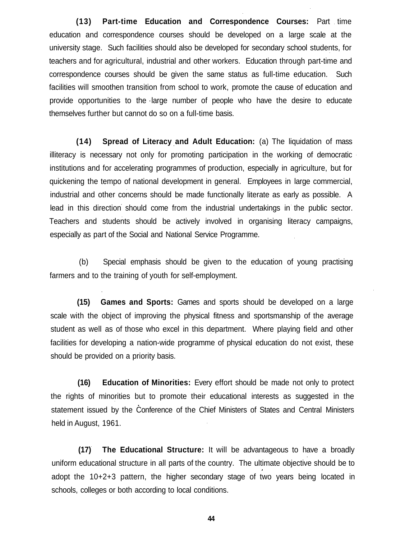**(13) Part-time Education and Correspondence Courses:** Part time education and correspondence courses should be developed on a large scale at the university stage. Such facilities should also be developed for secondary school students, for teachers and for agricultural, industrial and other workers. Education through part-time and correspondence courses should be given the same status as full-time education. Such facilities will smoothen transition from school to work, promote the cause of education and provide opportunities to the large number of people who have the desire to educate themselves further but cannot do so on a full-time basis.

**(14) Spread of Literacy and Adult Education:** (a) The liquidation of mass illiteracy is necessary not only for promoting participation in the working of democratic institutions and for accelerating programmes of production, especially in agriculture, but for quickening the tempo of national development in general. Employees in large commercial, industrial and other concerns should be made functionally literate as early as possible. A lead in this direction should come from the industrial undertakings in the public sector. Teachers and students should be actively involved in organising literacy campaigns, especially as part of the Social and National Service Programme.

(b) Special emphasis should be given to the education of young practising farmers and to the training of youth for self-employment.

**(15) Games and Sports:** Games and sports should be developed on a large scale with the object of improving the physical fitness and sportsmanship of the average student as well as of those who excel in this department. Where playing field and other facilities for developing a nation-wide programme of physical education do not exist, these should be provided on a priority basis.

**(16) Education of Minorities:** Every effort should be made not only to protect the rights of minorities but to promote their educational interests as suggested in the statement issued by the Conference of the Chief Ministers of States and Central Ministers held in August, 1961.

**(17) The Educational Structure:** It will be advantageous to have a broadly uniform educational structure in all parts of the country. The ultimate objective should be to adopt the 10+2+3 pattern, the higher secondary stage of two years being located in schools, colleges or both according to local conditions.